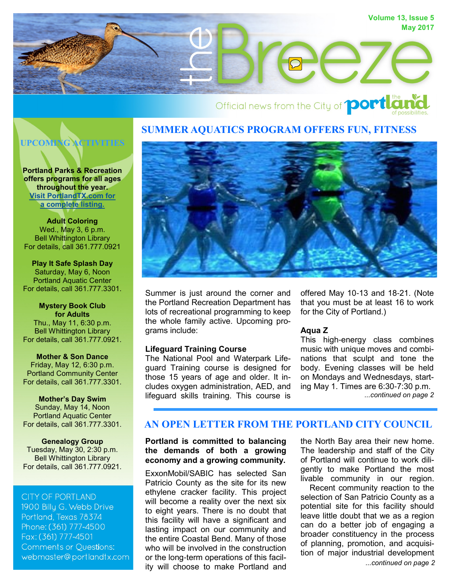

# Official news from the City of **portla**

# **SUMMER AQUATICS PROGRAM OFFERS FUN, FITNESS**

# **UPCOMING ACTIVITIES**

**Portland Parks & Recreation offers programs for all ages throughout the year. [Visit PortlandTX.com for](http://portlandtx.com/index.aspx?nid=126) [a complete listing.](http://portlandtx.com/index.aspx?nid=126)**

**Adult Coloring** Wed., May 3, 6 p.m. [Bell Whittington Library](http://portlandtx.com/index.aspx?nid=181) For details, call 361.777.0921

**Play It Safe Splash Day** Saturday, May 6, Noon Portland Aquatic Center For details, call 361.777.3301.

**Mystery Book Club for Adults** Thu., May 11, 6:30 p.m. Bell Whittington Library For details, call 361.777.0921.

**Mother & Son Dance** Friday, May 12, 6:30 p.m. Portland Community Center For details, call 361.777.3301.

**Mother's Day Swim** Sunday, May 14, Noon Portland Aquatic Center For details, call 361.777.3301.

**Genealogy Group** Tuesday, May 30, 2:30 p.m. Bell Whittington Library For details, call 361.777.0921.

**CITY OF PORTLAND** 1900 Billu G. Webb Drive Portland, Texas 78374 Phone: (361) 777-4500 Fax: (361) 777-4501 **Comments or Questions:** webmaster@portlandtx.com



Summer is just around the corner and the Portland Recreation Department has lots of recreational programming to keep the whole family active. Upcoming programs include:

#### **Lifeguard Training Course**

The National Pool and Waterpark Lifeguard Training course is designed for those 15 years of age and older. It includes oxygen administration, AED, and lifeguard skills training. This course is

offered May 10-13 and 18-21. (Note that you must be at least 16 to work for the City of Portland.)

#### **Aqua Z**

This high-energy class combines music with unique moves and combinations that sculpt and tone the body. Evening classes will be held on Mondays and Wednesdays, starting May 1. Times are 6:30-7:30 p.m. *...continued on page 2*

# **AN OPEN LETTER FROM THE PORTLAND CITY COUNCIL**

#### **Portland is committed to balancing the demands of both a growing economy and a growing community.**

ExxonMobil/SABIC has selected San Patricio County as the site for its new ethylene cracker facility. This project will become a reality over the next six to eight years. There is no doubt that this facility will have a significant and lasting impact on our community and the entire Coastal Bend. Many of those who will be involved in the construction or the long-term operations of this facility will choose to make Portland and

the North Bay area their new home. The leadership and staff of the City of Portland will continue to work diligently to make Portland the most livable community in our region.

*...continued on page 2* Recent community reaction to the selection of San Patricio County as a potential site for this facility should leave little doubt that we as a region can do a better job of engaging a broader constituency in the process of planning, promotion, and acquisition of major industrial development